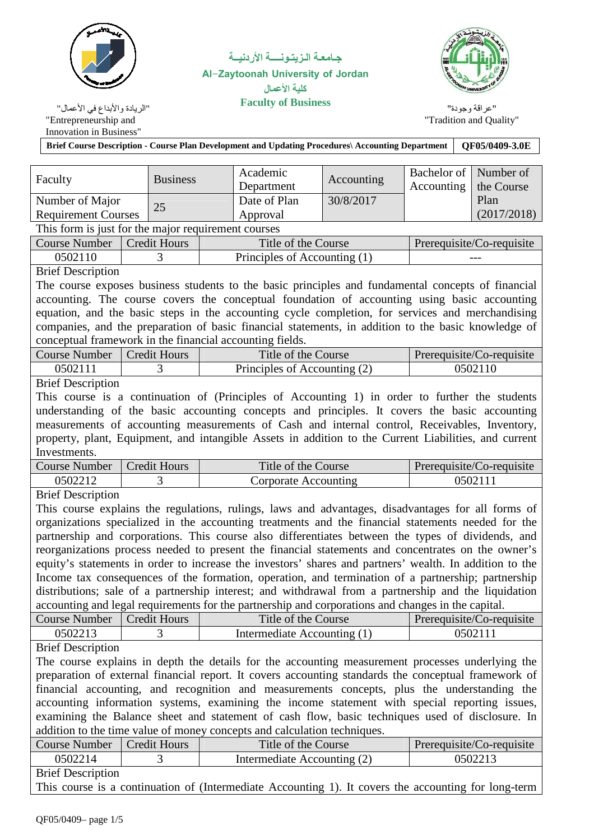

جــامعــة الــزيتــونــــــة الأردنيـــة **Al-Zaytoonah University of Jordan** كلية الأعمال<br>Faculty of Business "الريادة والأبداع في الأعمال"<br>''الريادة والأبداع في الأعمال"



"عراقة وجودة" "Tradition and Quality"

| Entrepreneurship and<br>Innovation in Business"          |                                                                                                                     |                     |  |                                                                                                         |            |             | Tradition and Quanty      |  |  |  |
|----------------------------------------------------------|---------------------------------------------------------------------------------------------------------------------|---------------------|--|---------------------------------------------------------------------------------------------------------|------------|-------------|---------------------------|--|--|--|
|                                                          | Brief Course Description - Course Plan Development and Updating Procedures\ Accounting Department<br>OF05/0409-3.0E |                     |  |                                                                                                         |            |             |                           |  |  |  |
|                                                          |                                                                                                                     |                     |  |                                                                                                         |            |             |                           |  |  |  |
|                                                          |                                                                                                                     |                     |  | Academic                                                                                                |            | Bachelor of | Number of                 |  |  |  |
| Faculty                                                  |                                                                                                                     | <b>Business</b>     |  | Department                                                                                              | Accounting | Accounting  | the Course                |  |  |  |
| Number of Major                                          |                                                                                                                     |                     |  | Date of Plan                                                                                            | 30/8/2017  |             | Plan                      |  |  |  |
| <b>Requirement Courses</b>                               |                                                                                                                     | 25                  |  | Approval                                                                                                |            |             | (2017/2018)               |  |  |  |
| This form is just for the major requirement courses      |                                                                                                                     |                     |  |                                                                                                         |            |             |                           |  |  |  |
| <b>Course Number</b>                                     |                                                                                                                     | <b>Credit Hours</b> |  | Title of the Course                                                                                     |            |             | Prerequisite/Co-requisite |  |  |  |
| 0502110                                                  |                                                                                                                     | 3                   |  | Principles of Accounting (1)                                                                            |            |             |                           |  |  |  |
| <b>Brief Description</b>                                 |                                                                                                                     |                     |  |                                                                                                         |            |             |                           |  |  |  |
|                                                          |                                                                                                                     |                     |  | The course exposes business students to the basic principles and fundamental concepts of financial      |            |             |                           |  |  |  |
|                                                          |                                                                                                                     |                     |  | accounting. The course covers the conceptual foundation of accounting using basic accounting            |            |             |                           |  |  |  |
|                                                          |                                                                                                                     |                     |  | equation, and the basic steps in the accounting cycle completion, for services and merchandising        |            |             |                           |  |  |  |
|                                                          |                                                                                                                     |                     |  | companies, and the preparation of basic financial statements, in addition to the basic knowledge of     |            |             |                           |  |  |  |
| conceptual framework in the financial accounting fields. |                                                                                                                     |                     |  |                                                                                                         |            |             |                           |  |  |  |
| <b>Course Number</b>                                     |                                                                                                                     | <b>Credit Hours</b> |  | Title of the Course                                                                                     |            |             | Prerequisite/Co-requisite |  |  |  |
| 0502111                                                  |                                                                                                                     | 3                   |  | Principles of Accounting (2)                                                                            |            |             | 0502110                   |  |  |  |
| <b>Brief Description</b>                                 |                                                                                                                     |                     |  |                                                                                                         |            |             |                           |  |  |  |
|                                                          |                                                                                                                     |                     |  | This course is a continuation of (Principles of Accounting 1) in order to further the students          |            |             |                           |  |  |  |
|                                                          |                                                                                                                     |                     |  | understanding of the basic accounting concepts and principles. It covers the basic accounting           |            |             |                           |  |  |  |
|                                                          |                                                                                                                     |                     |  | measurements of accounting measurements of Cash and internal control, Receivables, Inventory,           |            |             |                           |  |  |  |
|                                                          |                                                                                                                     |                     |  | property, plant, Equipment, and intangible Assets in addition to the Current Liabilities, and current   |            |             |                           |  |  |  |
| Investments.                                             |                                                                                                                     |                     |  |                                                                                                         |            |             |                           |  |  |  |
|                                                          |                                                                                                                     |                     |  |                                                                                                         |            |             |                           |  |  |  |
| <b>Course Number</b>                                     |                                                                                                                     | <b>Credit Hours</b> |  | Title of the Course                                                                                     |            |             | Prerequisite/Co-requisite |  |  |  |
| 0502212                                                  |                                                                                                                     | 3                   |  | <b>Corporate Accounting</b>                                                                             |            |             | 0502111                   |  |  |  |
| <b>Brief Description</b>                                 |                                                                                                                     |                     |  |                                                                                                         |            |             |                           |  |  |  |
|                                                          |                                                                                                                     |                     |  | This course explains the regulations, rulings, laws and advantages, disadvantages for all forms of      |            |             |                           |  |  |  |
|                                                          |                                                                                                                     |                     |  | organizations specialized in the accounting treatments and the financial statements needed for the      |            |             |                           |  |  |  |
|                                                          |                                                                                                                     |                     |  | partnership and corporations. This course also differentiates between the types of dividends, and       |            |             |                           |  |  |  |
|                                                          |                                                                                                                     |                     |  | reorganizations process needed to present the financial statements and concentrates on the owner's      |            |             |                           |  |  |  |
|                                                          |                                                                                                                     |                     |  | equity's statements in order to increase the investors' shares and partners' wealth. In addition to the |            |             |                           |  |  |  |
|                                                          |                                                                                                                     |                     |  | Income tax consequences of the formation, operation, and termination of a partnership; partnership      |            |             |                           |  |  |  |
|                                                          |                                                                                                                     |                     |  | distributions; sale of a partnership interest; and withdrawal from a partnership and the liquidation    |            |             |                           |  |  |  |
|                                                          |                                                                                                                     |                     |  | accounting and legal requirements for the partnership and corporations and changes in the capital.      |            |             |                           |  |  |  |
| <b>Course Number</b>                                     |                                                                                                                     | <b>Credit Hours</b> |  | Title of the Course                                                                                     |            |             | Prerequisite/Co-requisite |  |  |  |
| 0502213                                                  |                                                                                                                     | 3                   |  | Intermediate Accounting (1)                                                                             |            |             | 0502111                   |  |  |  |
| <b>Brief Description</b>                                 |                                                                                                                     |                     |  |                                                                                                         |            |             |                           |  |  |  |
|                                                          |                                                                                                                     |                     |  | The course explains in depth the details for the accounting measurement processes underlying the        |            |             |                           |  |  |  |
|                                                          |                                                                                                                     |                     |  | preparation of external financial report. It covers accounting standards the conceptual framework of    |            |             |                           |  |  |  |
|                                                          |                                                                                                                     |                     |  | financial accounting, and recognition and measurements concepts, plus the understanding the             |            |             |                           |  |  |  |
|                                                          |                                                                                                                     |                     |  | accounting information systems, examining the income statement with special reporting issues,           |            |             |                           |  |  |  |
|                                                          |                                                                                                                     |                     |  | examining the Balance sheet and statement of cash flow, basic techniques used of disclosure. In         |            |             |                           |  |  |  |
|                                                          |                                                                                                                     |                     |  | addition to the time value of money concepts and calculation techniques.                                |            |             |                           |  |  |  |
| <b>Course Number</b>                                     |                                                                                                                     | <b>Credit Hours</b> |  | Title of the Course                                                                                     |            |             | Prerequisite/Co-requisite |  |  |  |
| 0502214                                                  |                                                                                                                     | 3                   |  | Intermediate Accounting (2)                                                                             |            |             | 0502213                   |  |  |  |
| <b>Brief Description</b>                                 |                                                                                                                     |                     |  |                                                                                                         |            |             |                           |  |  |  |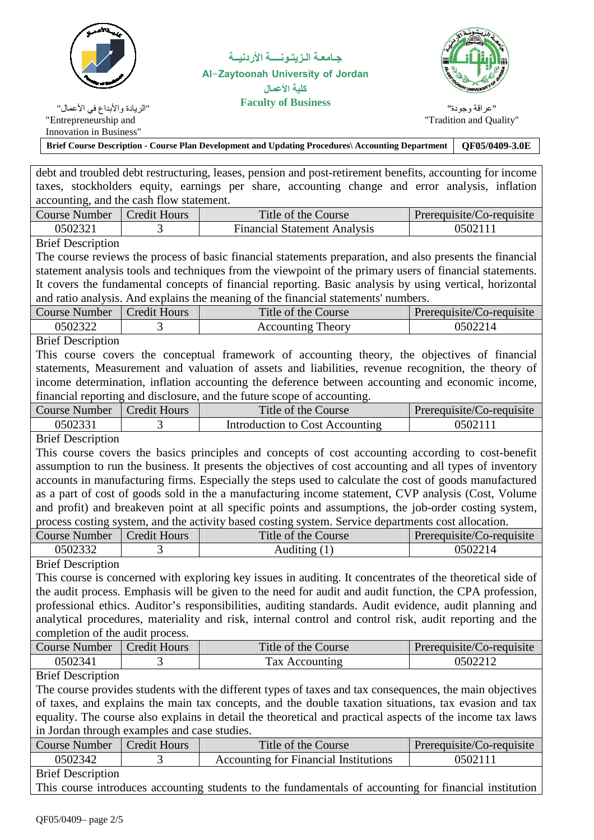

جــامعــة الــزيتــونــــــة الأردنيـــة **Al-Zaytoonah University of Jordan ال**  "الريادة والأبداع في الأعمال"<br>''الريادة والأبداع في الأعمال"



"Entrepreneurship and Innovation in Business"

"عر اقة وجودة" "Tradition and Quality"

| <b>Brief Course Description - Course Plan Development and Updating Procedures Accounting Department</b>   | OF05/0409-3.0E |  |
|-----------------------------------------------------------------------------------------------------------|----------------|--|
|                                                                                                           |                |  |
| debt and troubled debt restructuring, leases, pension and post-retirement benefits, accounting for income |                |  |
| taxes, stockholders equity, earnings per share, accounting change and error analysis, inflation           |                |  |

| accounting, and the cash flow statement. |  |                                     |                           |  |  |
|------------------------------------------|--|-------------------------------------|---------------------------|--|--|
| Course Number   Credit Hours             |  | Title of the Course                 | Prerequisite/Co-requisite |  |  |
| 0502321                                  |  | <b>Financial Statement Analysis</b> | 0502111                   |  |  |

Brief Description

The course reviews the process of basic financial statements preparation, and also presents the financial statement analysis tools and techniques from the viewpoint of the primary users of financial statements. It covers the fundamental concepts of financial reporting. Basic analysis by using vertical, horizontal and ratio analysis. And explains the meaning of the financial statements' numbers.

| Course Number | Credit Hours | Title of the Course | Prerequisite/Co-requisite |
|---------------|--------------|---------------------|---------------------------|
| 0502322       |              | Accounting Theory   | 1502214                   |

Brief Description

This course covers the conceptual framework of accounting theory, the objectives of financial statements, Measurement and valuation of assets and liabilities, revenue recognition, the theory of income determination, inflation accounting the deference between accounting and economic income, financial reporting and disclosure, and the future scope of accounting.

| Course Number | Credit Hours | Title of the Course             | Prerequisite/Co-requisite |
|---------------|--------------|---------------------------------|---------------------------|
| 0502331       |              | Introduction to Cost Accounting |                           |

Brief Description

This course covers the basics principles and concepts of cost accounting according to cost-benefit assumption to run the business. It presents the objectives of cost accounting and all types of inventory accounts in manufacturing firms. Especially the steps used to calculate the cost of goods manufactured as a part of cost of goods sold in the a manufacturing income statement, CVP analysis (Cost, Volume and profit) and breakeven point at all specific points and assumptions, the job-order costing system, process costing system, and the activity based costing system. Service departments cost allocation.

| Course Number | <b>Credit Hours</b> | Title of the Course | Prerequisite/Co-requisite |
|---------------|---------------------|---------------------|---------------------------|
| )502332       |                     | Auditing (1)        | 0502214                   |
|               |                     |                     |                           |

Brief Description

This course is concerned with exploring key issues in auditing. It concentrates of the theoretical side of the audit process. Emphasis will be given to the need for audit and audit function, the CPA profession, professional ethics. Auditor's responsibilities, auditing standards. Audit evidence, audit planning and analytical procedures, materiality and risk, internal control and control risk, audit reporting and the completion of the audit process.

| <b>Course Number</b> | Credit Hours | Title of the Course | Prerequisite/Co-requisite |
|----------------------|--------------|---------------------|---------------------------|
| 0502341              |              | Tax Accounting      | 0502212                   |
|                      |              |                     |                           |

Brief Description

The course provides students with the different types of taxes and tax consequences, the main objectives of taxes, and explains the main tax concepts, and the double taxation situations, tax evasion and tax equality. The course also explains in detail the theoretical and practical aspects of the income tax laws in Jordan through examples and case studies.

| Course Number               | Credit Hours | Title of the Course                   | Prerequisite/Co-requisite |
|-----------------------------|--------------|---------------------------------------|---------------------------|
| 0502342                     |              | Accounting for Financial Institutions | 0502111                   |
| $\mathbf{r}$ . $\mathbf{r}$ |              |                                       |                           |

Brief Description

This course introduces accounting students to the fundamentals of accounting for financial institution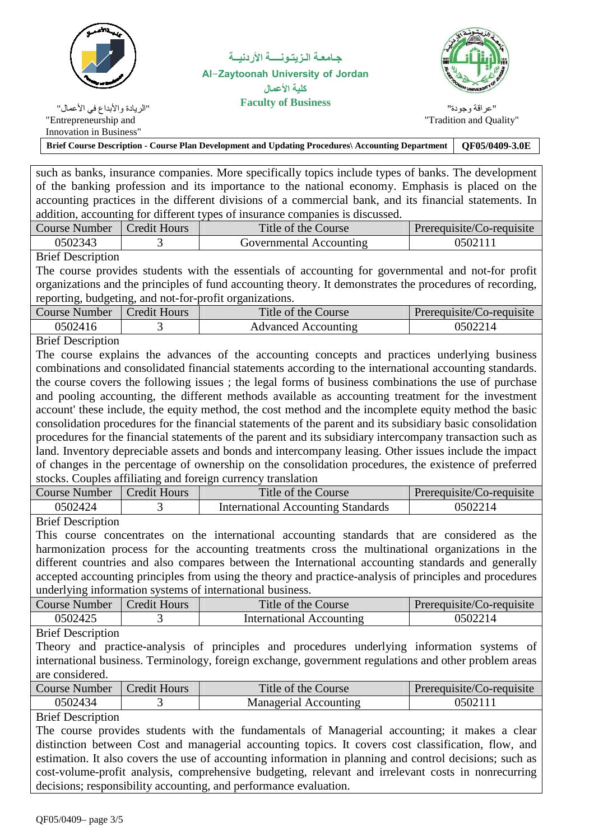

جــامعــة الــزيتــونــــــة الأردنيـــة **Al-Zaytoonah University of Jordan ال**  "الريادة والأبداع في الأعمال"<br>''الريادة والأبداع في الأعمال"



"عر إقة وجودة" "Tradition and Quality"

Innovation in Business" **Brief Course Description - Course Plan Development and Updating Procedures\ Accounting Department QF05/0409-3.0E** 

such as banks, insurance companies. More specifically topics include types of banks. The development of the banking profession and its importance to the national economy. Emphasis is placed on the accounting practices in the different divisions of a commercial bank, and its financial statements. In addition, accounting for different types of insurance companies is discussed.

| Course Number | <b>Credit Hours</b> | Title of the Course     | Prerequisite/Co-requisite |
|---------------|---------------------|-------------------------|---------------------------|
| 0502343       |                     | Governmental Accounting | 0502111                   |
| _ _ _ _       |                     |                         |                           |

Brief Description

The course provides students with the essentials of accounting for governmental and not-for profit organizations and the principles of fund accounting theory. It demonstrates the procedures of recording, reporting, budgeting, and not-for-profit organizations.

| Course Number | Credit Hours | Title of the Course | Prerequisite/Co-requisite |
|---------------|--------------|---------------------|---------------------------|
| 0502416       | ີ            | Advanced Accounting |                           |

Brief Description

The course explains the advances of the accounting concepts and practices underlying business combinations and consolidated financial statements according to the international accounting standards. the course covers the following issues ; the legal forms of business combinations the use of purchase and pooling accounting, the different methods available as accounting treatment for the investment account' these include, the equity method, the cost method and the incomplete equity method the basic consolidation procedures for the financial statements of the parent and its subsidiary basic consolidation procedures for the financial statements of the parent and its subsidiary intercompany transaction such as land. Inventory depreciable assets and bonds and intercompany leasing. Other issues include the impact of changes in the percentage of ownership on the consolidation procedures, the existence of preferred stocks. Couples affiliating and foreign currency translation

| Course Number        | <b>Credit Hours</b> | Title of the Course                | Prerequisite/Co-requisite |
|----------------------|---------------------|------------------------------------|---------------------------|
| 9502424              |                     | International Accounting Standards | 0502214                   |
| $\sim$ $\sim$ $\sim$ |                     |                                    |                           |

Brief Description

This course concentrates on the international accounting standards that are considered as the harmonization process for the accounting treatments cross the multinational organizations in the different countries and also compares between the International accounting standards and generally accepted accounting principles from using the theory and practice-analysis of principles and procedures underlying information systems of international business.

| Course Number | <b>Credit Hours</b> | Title of the Course      | Prerequisite/Co-requisite |
|---------------|---------------------|--------------------------|---------------------------|
| 0502425       |                     | International Accounting | 0502214                   |
| _ _ _ _       |                     |                          |                           |

Brief Description

Theory and practice-analysis of principles and procedures underlying information systems of international business. Terminology, foreign exchange, government regulations and other problem areas are considered.

| Course Number | <b>Credit Hours</b> | Title of the Course   | Prerequisite/Co-requisite |
|---------------|---------------------|-----------------------|---------------------------|
| 0502434       |                     | Managerial Accounting | 0502111                   |

Brief Description

The course provides students with the fundamentals of Managerial accounting; it makes a clear distinction between Cost and managerial accounting topics. It covers cost classification, flow, and estimation. It also covers the use of accounting information in planning and control decisions; such as cost-volume-profit analysis, comprehensive budgeting, relevant and irrelevant costs in nonrecurring decisions; responsibility accounting, and performance evaluation.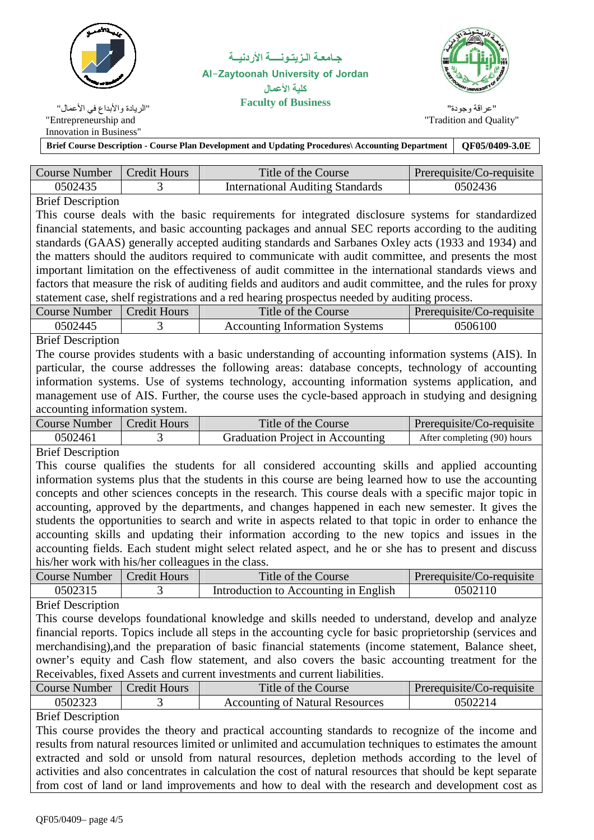

جــامعــة الــزيتــونــــــة الأردنيـــة **Al-Zaytoonah University of Jordan ال**  "الريادة والأبداع في الأعمال"<br>''الريادة والأبداع في الأعمال"



"عر إقة وجودة" "Tradition and Quality"

Innovation in Business" **Brief Course Description - Course Plan Development and Updating Procedures\ Accounting Department QF05/0409-3.0E** 

| Course Number | Credit Hours | Title of the Course                     | Prerequisite/Co-requisite |
|---------------|--------------|-----------------------------------------|---------------------------|
| 0502435       |              | <b>International Auditing Standards</b> | 0502436                   |

## Brief Description

This course deals with the basic requirements for integrated disclosure systems for standardized financial statements, and basic accounting packages and annual SEC reports according to the auditing standards (GAAS) generally accepted auditing standards and Sarbanes Oxley acts (1933 and 1934) and the matters should the auditors required to communicate with audit committee, and presents the most important limitation on the effectiveness of audit committee in the international standards views and factors that measure the risk of auditing fields and auditors and audit committee, and the rules for proxy statement case, shelf registrations and a red hearing prospectus needed by auditing process.

|                                       | Course Number | Prerequisite/Co-requisite |  |
|---------------------------------------|---------------|---------------------------|--|
| <b>Accounting Information Systems</b> | 0502445       | 0506100                   |  |

Brief Description

The course provides students with a basic understanding of accounting information systems (AIS). In particular, the course addresses the following areas: database concepts, technology of accounting information systems. Use of systems technology, accounting information systems application, and management use of AIS. Further, the course uses the cycle-based approach in studying and designing accounting information system.

| Course Number | Credit Hours | Title of the Course              | Prerequisite/Co-requisite   |
|---------------|--------------|----------------------------------|-----------------------------|
| 0502461       |              | Graduation Project in Accounting | After completing (90) hours |
| <u>.</u>      |              |                                  |                             |

Brief Description

This course qualifies the students for all considered accounting skills and applied accounting information systems plus that the students in this course are being learned how to use the accounting concepts and other sciences concepts in the research. This course deals with a specific major topic in accounting, approved by the departments, and changes happened in each new semester. It gives the students the opportunities to search and write in aspects related to that topic in order to enhance the accounting skills and updating their information according to the new topics and issues in the accounting fields. Each student might select related aspect, and he or she has to present and discuss his/her work with his/her colleagues in the class.

| Course Number | Credit Hours | Title of the Course                   | Prerequisite/Co-requisite |
|---------------|--------------|---------------------------------------|---------------------------|
| 0502315       |              | Introduction to Accounting in English | 0502110                   |

## Brief Description

This course develops foundational knowledge and skills needed to understand, develop and analyze financial reports. Topics include all steps in the accounting cycle for basic proprietorship (services and merchandising),and the preparation of basic financial statements (income statement, Balance sheet, owner's equity and Cash flow statement, and also covers the basic accounting treatment for the Receivables, fixed Assets and current investments and current liabilities.

| Course Number | Credit Hours | Title of the Course                    | Prerequisite/Co-requisite |
|---------------|--------------|----------------------------------------|---------------------------|
| 0502323       |              | <b>Accounting of Natural Resources</b> | 0502214                   |

Brief Description

This course provides the theory and practical accounting standards to recognize of the income and results from natural resources limited or unlimited and accumulation techniques to estimates the amount extracted and sold or unsold from natural resources, depletion methods according to the level of activities and also concentrates in calculation the cost of natural resources that should be kept separate from cost of land or land improvements and how to deal with the research and development cost as